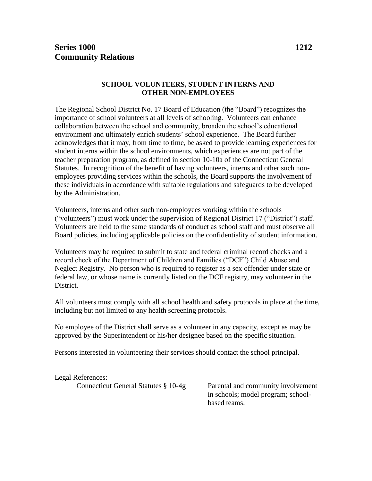### **SCHOOL VOLUNTEERS, STUDENT INTERNS AND OTHER NON-EMPLOYEES**

The Regional School District No. 17 Board of Education (the "Board") recognizes the importance of school volunteers at all levels of schooling. Volunteers can enhance collaboration between the school and community, broaden the school's educational environment and ultimately enrich students' school experience. The Board further acknowledges that it may, from time to time, be asked to provide learning experiences for student interns within the school environments, which experiences are not part of the teacher preparation program, as defined in section 10-10a of the Connecticut General Statutes. In recognition of the benefit of having volunteers, interns and other such nonemployees providing services within the schools, the Board supports the involvement of these individuals in accordance with suitable regulations and safeguards to be developed by the Administration.

Volunteers, interns and other such non-employees working within the schools ("volunteers") must work under the supervision of Regional District 17 ("District") staff. Volunteers are held to the same standards of conduct as school staff and must observe all Board policies, including applicable policies on the confidentiality of student information.

Volunteers may be required to submit to state and federal criminal record checks and a record check of the Department of Children and Families ("DCF") Child Abuse and Neglect Registry. No person who is required to register as a sex offender under state or federal law, or whose name is currently listed on the DCF registry, may volunteer in the District.

All volunteers must comply with all school health and safety protocols in place at the time, including but not limited to any health screening protocols.

No employee of the District shall serve as a volunteer in any capacity, except as may be approved by the Superintendent or his/her designee based on the specific situation.

Persons interested in volunteering their services should contact the school principal.

## Legal References:

Connecticut General Statutes § 10-4g Parental and community involvement

in schools; model program; schoolbased teams.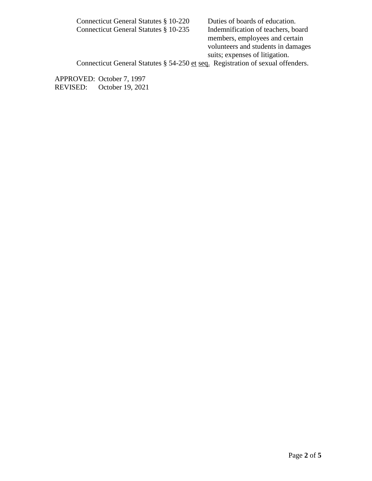Connecticut General Statutes § 10-220 Duties of boards of education. Connecticut General Statutes § 10-235 Indemnification of teachers, board members, employees and certain volunteers and students in damages suits; expenses of litigation. Connecticut General Statutes § 54-250 et seq. Registration of sexual offenders.

APPROVED: October 7, 1997 REVISED: October 19, 2021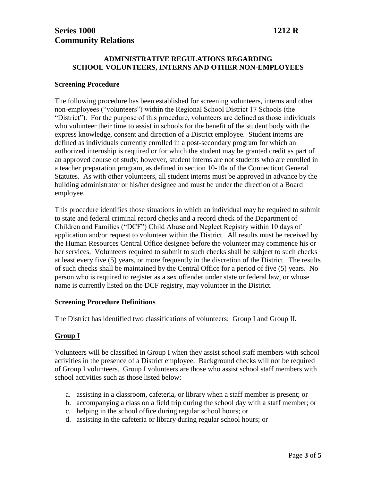### **ADMINISTRATIVE REGULATIONS REGARDING SCHOOL VOLUNTEERS, INTERNS AND OTHER NON-EMPLOYEES**

#### **Screening Procedure**

The following procedure has been established for screening volunteers, interns and other non-employees ("volunteers") within the Regional School District 17 Schools (the "District"). For the purpose of this procedure, volunteers are defined as those individuals who volunteer their time to assist in schools for the benefit of the student body with the express knowledge, consent and direction of a District employee. Student interns are defined as individuals currently enrolled in a post-secondary program for which an authorized internship is required or for which the student may be granted credit as part of an approved course of study; however, student interns are not students who are enrolled in a teacher preparation program, as defined in section 10-10a of the Connecticut General Statutes. As with other volunteers, all student interns must be approved in advance by the building administrator or his/her designee and must be under the direction of a Board employee.

This procedure identifies those situations in which an individual may be required to submit to state and federal criminal record checks and a record check of the Department of Children and Families ("DCF") Child Abuse and Neglect Registry within 10 days of application and/or request to volunteer within the District. All results must be received by the Human Resources Central Office designee before the volunteer may commence his or her services. Volunteers required to submit to such checks shall be subject to such checks at least every five (5) years, or more frequently in the discretion of the District. The results of such checks shall be maintained by the Central Office for a period of five (5) years. No person who is required to register as a sex offender under state or federal law, or whose name is currently listed on the DCF registry, may volunteer in the District.

### **Screening Procedure Definitions**

The District has identified two classifications of volunteers: Group I and Group II.

### **Group I**

Volunteers will be classified in Group I when they assist school staff members with school activities in the presence of a District employee. Background checks will not be required of Group I volunteers. Group I volunteers are those who assist school staff members with school activities such as those listed below:

- a. assisting in a classroom, cafeteria, or library when a staff member is present; or
- b. accompanying a class on a field trip during the school day with a staff member; or
- c. helping in the school office during regular school hours; or
- d. assisting in the cafeteria or library during regular school hours; or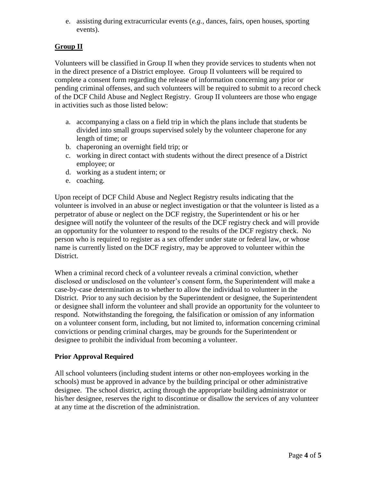e. assisting during extracurricular events (*e.g.,* dances, fairs, open houses, sporting events).

# **Group II**

Volunteers will be classified in Group II when they provide services to students when not in the direct presence of a District employee. Group II volunteers will be required to complete a consent form regarding the release of information concerning any prior or pending criminal offenses, and such volunteers will be required to submit to a record check of the DCF Child Abuse and Neglect Registry. Group II volunteers are those who engage in activities such as those listed below:

- a. accompanying a class on a field trip in which the plans include that students be divided into small groups supervised solely by the volunteer chaperone for any length of time; or
- b. chaperoning an overnight field trip; or
- c. working in direct contact with students without the direct presence of a District employee; or
- d. working as a student intern; or
- e. coaching.

Upon receipt of DCF Child Abuse and Neglect Registry results indicating that the volunteer is involved in an abuse or neglect investigation or that the volunteer is listed as a perpetrator of abuse or neglect on the DCF registry, the Superintendent or his or her designee will notify the volunteer of the results of the DCF registry check and will provide an opportunity for the volunteer to respond to the results of the DCF registry check. No person who is required to register as a sex offender under state or federal law, or whose name is currently listed on the DCF registry, may be approved to volunteer within the District.

When a criminal record check of a volunteer reveals a criminal conviction, whether disclosed or undisclosed on the volunteer's consent form, the Superintendent will make a case-by-case determination as to whether to allow the individual to volunteer in the District. Prior to any such decision by the Superintendent or designee, the Superintendent or designee shall inform the volunteer and shall provide an opportunity for the volunteer to respond. Notwithstanding the foregoing, the falsification or omission of any information on a volunteer consent form, including, but not limited to, information concerning criminal convictions or pending criminal charges, may be grounds for the Superintendent or designee to prohibit the individual from becoming a volunteer.

## **Prior Approval Required**

All school volunteers (including student interns or other non-employees working in the schools) must be approved in advance by the building principal or other administrative designee. The school district, acting through the appropriate building administrator or his/her designee, reserves the right to discontinue or disallow the services of any volunteer at any time at the discretion of the administration.